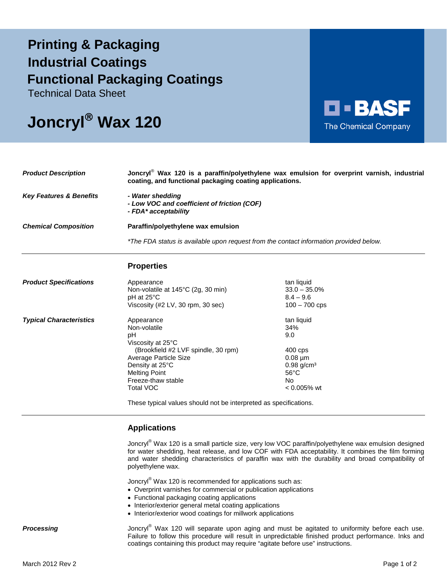## **Printing & Packaging Functional Packaging Coatings Industrial Coatings**

Technical Data Sheet

# **Joncryl Wax 120**



| <b>Product Description</b>         | Joncryl <sup>®</sup> Wax 120 is a paraffin/polyethylene wax emulsion for overprint varnish, industrial<br>coating, and functional packaging coating applications. |
|------------------------------------|-------------------------------------------------------------------------------------------------------------------------------------------------------------------|
| <b>Key Features &amp; Benefits</b> | - Water shedding<br>- Low VOC and coefficient of friction (COF)<br>- FDA* acceptability                                                                           |
| <b>Chemical Composition</b>        | Paraffin/polyethylene wax emulsion                                                                                                                                |
|                                    | *The FDA status is available upon request from the contact information provided below.                                                                            |
|                                    | <b>Dranartian</b>                                                                                                                                                 |

## **Properties**

| <b>Product Specifications</b>  | Appearance<br>Non-volatile at 145°C (2g, 30 min)<br>$pH$ at 25 $\degree$ C<br>Viscosity (#2 LV, 30 rpm, 30 sec) | tan liquid<br>$33.0 - 35.0\%$<br>$8.4 - 9.6$<br>$100 - 700$ cps |
|--------------------------------|-----------------------------------------------------------------------------------------------------------------|-----------------------------------------------------------------|
| <b>Typical Characteristics</b> | Appearance<br>Non-volatile<br>рH<br>Viscosity at 25°C                                                           | tan liquid<br>34%<br>9.0                                        |
|                                | (Brookfield #2 LVF spindle, 30 rpm)                                                                             | 400 cps                                                         |
|                                | Average Particle Size<br>Density at 25°C                                                                        | $0.08 \mu m$<br>$0.98$ g/cm <sup>3</sup>                        |
|                                | <b>Melting Point</b>                                                                                            | $56^{\circ}$ C                                                  |
|                                | Freeze-thaw stable                                                                                              | No.                                                             |
|                                | Total VOC                                                                                                       | $< 0.005\%$ wt                                                  |

These typical values should not be interpreted as specifications.

## **Applications**

Joncryl<sup>®</sup> Wax 120 is a small particle size, very low VOC paraffin/polyethylene wax emulsion designed for water shedding, heat release, and low COF with FDA acceptability. It combines the film forming and water shedding characteristics of paraffin wax with the durability and broad compatibility of polyethylene wax.

Joncryl® Wax 120 is recommended for applications such as:

- Overprint varnishes for commercial or publication applications
- Functional packaging coating applications
- Interior/exterior general metal coating applications
- Interior/exterior wood coatings for millwork applications

**Processing** Joncry<sup>®</sup> Wax 120 will separate upon aging and must be agitated to uniformity before each use. Failure to follow this procedure will result in unpredictable finished product performance. Inks and coatings containing this product may require "agitate before use" instructions.